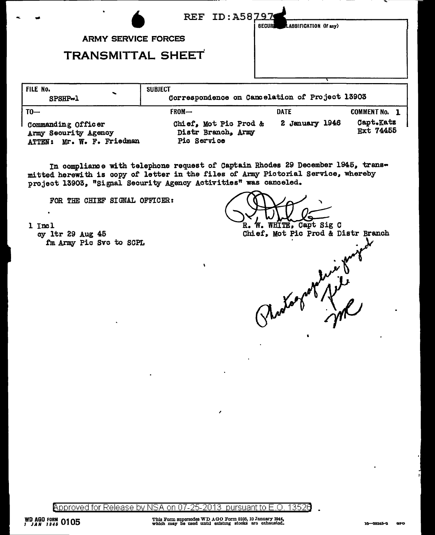| $\blacksquare$                              |                                             | REF ID: A58797<br>LASSIFICATION (If any)<br>SECURI |                        |
|---------------------------------------------|---------------------------------------------|----------------------------------------------------|------------------------|
|                                             | <b>ARMY SERVICE FORCES</b>                  |                                                    |                        |
|                                             | <b>TRANSMITTAL SHEET</b>                    |                                                    |                        |
| FILE No.<br>SPSHP-1                         | <b>SUBJECT</b>                              | Correspondence on Cancelation of Project 13903     |                        |
| $T0 -$                                      | FROM-                                       | <b>DATE</b>                                        | <b>COMMENT No. 1</b>   |
| Commanding Officer<br>Army Recurs ty Arency | Chief, Mot Pic Prod &<br>Distr Branch, Army | 2 January 1946                                     | Capt.Katz<br>Ext 74455 |

Pic Service ATTEN: Mr. W. F. Friedman

In compliance with telephone request of Captain Rhodes 29 December 1945, transmitted herewith is copy of letter in the files of Army Pictorial Service, whereby project 13903, "Signal Security Agency Activities" was canceled.

FOR THE CHIEF SIGNAL OFFICER:

1 Incl cy 1tr 29 Aug 45 fm Army Pic Svc to SCPL

W. WHITE, Capt Sig C R. Chief, Mot Pic Prod & Distr Branch

Approved for Release by NSA on 07-25-2013 pursuant to E.O. 13526